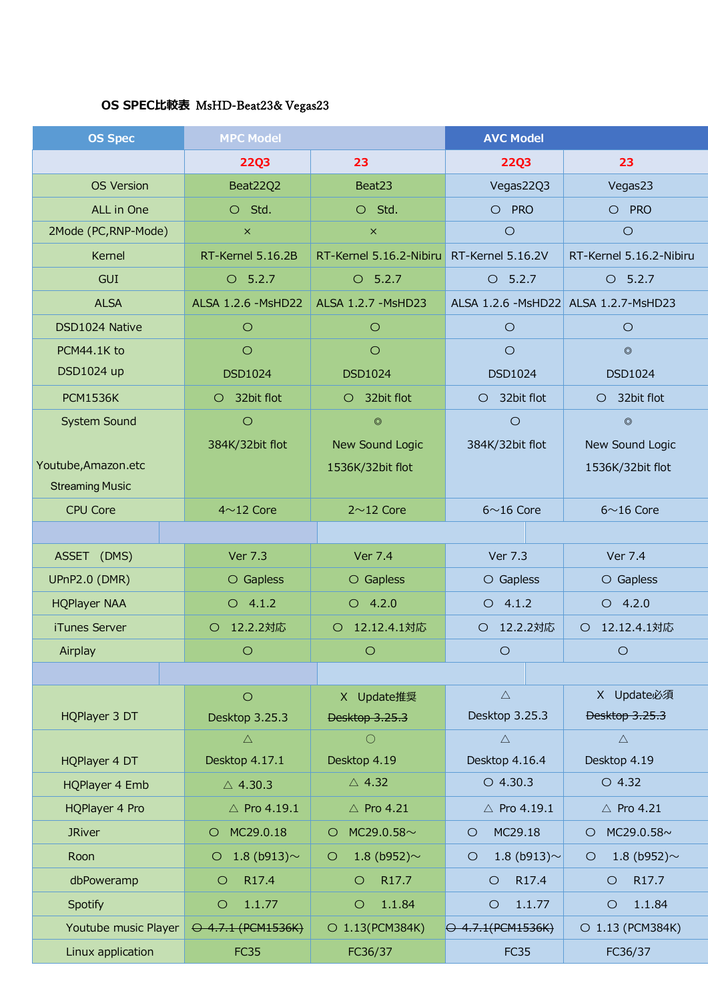## **OS SPEC比較表** MsHD-Beat23& Vegas23

| <b>OS Spec</b>         | <b>MPC Model</b>             |                              | <b>AVC Model</b>             |                                       |
|------------------------|------------------------------|------------------------------|------------------------------|---------------------------------------|
|                        | <b>22Q3</b>                  | 23                           | <b>22Q3</b>                  | 23                                    |
| <b>OS Version</b>      | Beat22Q2                     | Beat23                       | Vegas22Q3                    | Vegas23                               |
| ALL in One             | O Std.                       | O Std.                       | O PRO                        | O PRO                                 |
| 2Mode (PC, RNP-Mode)   | $\times$                     | $\times$                     | $\circ$                      | $\circ$                               |
| Kernel                 | RT-Kernel 5.16.2B            | RT-Kernel 5.16.2-Nibiru      | RT-Kernel 5.16.2V            | RT-Kernel 5.16.2-Nibiru               |
| <b>GUI</b>             | $O$ 5.2.7                    | $O$ 5.2.7                    | $O$ 5.2.7                    | $O$ 5.2.7                             |
| <b>ALSA</b>            | ALSA 1.2.6 - MsHD22          | ALSA 1.2.7 - MsHD23          |                              | ALSA 1.2.6 - MsHD22 ALSA 1.2.7-MsHD23 |
| DSD1024 Native         | $\circ$                      | $\circ$                      | $\circ$                      | $\circ$                               |
| PCM44.1K to            | $\circ$                      | $\circ$                      | $\circ$                      | $\circledcirc$                        |
| DSD1024 up             | <b>DSD1024</b>               | <b>DSD1024</b>               | <b>DSD1024</b>               | <b>DSD1024</b>                        |
| <b>PCM1536K</b>        | 32bit flot<br>$\circ$        | 32bit flot<br>$\circ$        | 32bit flot<br>$\circ$        | 32bit flot<br>$\circ$                 |
| <b>System Sound</b>    | $\circ$                      | $\circledcirc$               | $\circ$                      | $\circledcirc$                        |
|                        | 384K/32bit flot              | New Sound Logic              | 384K/32bit flot              | New Sound Logic                       |
| Youtube, Amazon.etc    |                              | 1536K/32bit flot             |                              | 1536K/32bit flot                      |
| <b>Streaming Music</b> |                              |                              |                              |                                       |
| <b>CPU Core</b>        | $4{\sim}12$ Core             | $2~12$ Core                  | $6~16$ Core                  | $6~16$ Core                           |
|                        |                              |                              |                              |                                       |
| ASSET (DMS)            | <b>Ver 7.3</b>               | <b>Ver 7.4</b>               | Ver 7.3                      | Ver 7.4                               |
| <b>UPnP2.0 (DMR)</b>   | $\circ$ Gapless              | $\circ$ Gapless              | $\circ$ Gapless              | $\circ$ Gapless                       |
| <b>HQPlayer NAA</b>    | $O$ 4.1.2                    | $O$ 4.2.0                    | $O$ 4.1.2                    | $O$ 4.2.0                             |
| iTunes Server          | O 12.2.2対応                   | O 12.12.4.1対応                | 12.2.2対応<br>O                | 12.12.4.1対応<br>$\circ$                |
| Airplay                | $\bigcirc$                   | $\bigcirc$                   | $\bigcirc$                   | $\bigcirc$                            |
|                        |                              |                              |                              |                                       |
|                        | $\circ$                      | X Update推奨                   | $\triangle$                  | X Update必須                            |
| HQPlayer 3 DT          | Desktop 3.25.3               | Desktop 3.25.3               | Desktop 3.25.3               | <b>Desktop 3.25.3</b>                 |
|                        | $\triangle$                  | $\bigcirc$                   | $\triangle$                  | $\triangle$                           |
| <b>HQPlayer 4 DT</b>   | Desktop 4.17.1               | Desktop 4.19                 | Desktop 4.16.4               | Desktop 4.19                          |
| <b>HQPlayer 4 Emb</b>  | $\triangle$ 4.30.3           | $\triangle$ 4.32             | $O$ 4.30.3                   | $\circ$ 4.32                          |
| <b>HQPlayer 4 Pro</b>  | $\triangle$ Pro 4.19.1       | $\triangle$ Pro 4.21         | $\triangle$ Pro 4.19.1       | $\triangle$ Pro 4.21                  |
| <b>JRiver</b>          | O MC29.0.18                  | MC29.0.58 $\sim$<br>O        | MC29.18<br>$\circ$           | MC29.0.58~<br>$\circ$                 |
| Roon                   | 1.8 (b913) $\sim$<br>$\circ$ | 1.8 (b952) $\sim$<br>$\circ$ | 1.8 (b913) $\sim$<br>$\circ$ | 1.8 (b952) $\sim$<br>$\circ$          |
| dbPoweramp             | R17.4<br>$\circ$             | R17.7<br>$\circ$             | R17.4<br>$\circ$             | R17.7<br>$\circ$                      |
| Spotify                | 1.1.77<br>$\circ$            | 1.1.84<br>$\circ$            | 1.1.77<br>$\circ$            | 1.1.84<br>$\circ$                     |
| Youtube music Player   | → 4.7.1 (PCM1536K)           | O 1.13(PCM384K)              | 0 4.7.1 (PCM1536K)           | O 1.13 (PCM384K)                      |
| Linux application      | <b>FC35</b>                  | FC36/37                      | <b>FC35</b>                  | FC36/37                               |